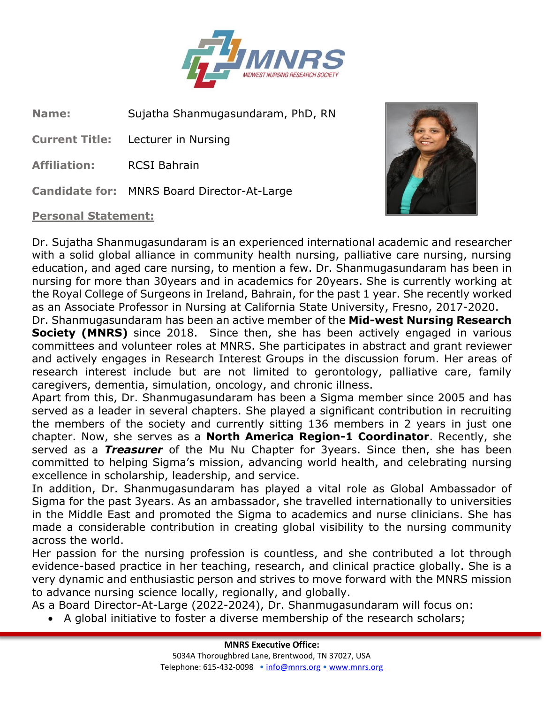

**Name:** Sujatha Shanmugasundaram, PhD, RN

**Current Title:** Lecturer in Nursing

**Affiliation:** RCSI Bahrain

**Candidate for:** MNRS Board Director-At-Large

## **Personal Statement:**



Dr. Sujatha Shanmugasundaram is an experienced international academic and researcher with a solid global alliance in community health nursing, palliative care nursing, nursing education, and aged care nursing, to mention a few. Dr. Shanmugasundaram has been in nursing for more than 30years and in academics for 20years. She is currently working at the Royal College of Surgeons in Ireland, Bahrain, for the past 1 year. She recently worked as an Associate Professor in Nursing at California State University, Fresno, 2017-2020.

Dr. Shanmugasundaram has been an active member of the **Mid-west Nursing Research Society (MNRS)** since 2018. Since then, she has been actively engaged in various committees and volunteer roles at MNRS. She participates in abstract and grant reviewer and actively engages in Research Interest Groups in the discussion forum. Her areas of research interest include but are not limited to gerontology, palliative care, family caregivers, dementia, simulation, oncology, and chronic illness.

Apart from this, Dr. Shanmugasundaram has been a Sigma member since 2005 and has served as a leader in several chapters. She played a significant contribution in recruiting the members of the society and currently sitting 136 members in 2 years in just one chapter. Now, she serves as a **North America Region-1 Coordinator**. Recently, she served as a *Treasurer* of the Mu Nu Chapter for 3years. Since then, she has been committed to helping Sigma's mission, advancing world health, and celebrating nursing excellence in scholarship, leadership, and service.

In addition, Dr. Shanmugasundaram has played a vital role as Global Ambassador of Sigma for the past 3years. As an ambassador, she travelled internationally to universities in the Middle East and promoted the Sigma to academics and nurse clinicians. She has made a considerable contribution in creating global visibility to the nursing community across the world.

Her passion for the nursing profession is countless, and she contributed a lot through evidence-based practice in her teaching, research, and clinical practice globally. She is a very dynamic and enthusiastic person and strives to move forward with the MNRS mission to advance nursing science locally, regionally, and globally.

As a Board Director-At-Large (2022-2024), Dr. Shanmugasundaram will focus on:

• A global initiative to foster a diverse membership of the research scholars;